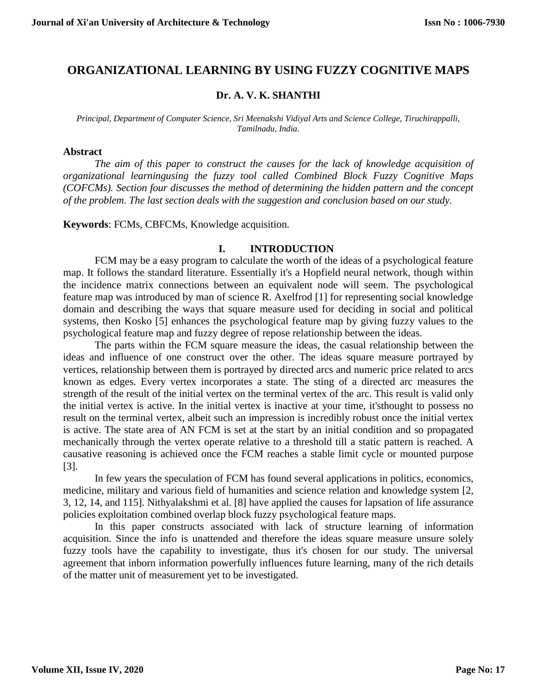# **ORGANIZATIONAL LEARNING BY USING FUZZY COGNITIVE MAPS**

## **Dr. A. V. K. SHANTHI**

*Principal, Department of Computer Science, Sri Meenakshi Vidiyal Arts and Science College, Tiruchirappalli, Tamilnadu, India.*

#### **Abstract**

*The aim of this paper to construct the causes for the lack of knowledge acquisition of organizational learningusing the fuzzy tool called Combined Block Fuzzy Cognitive Maps (COFCMs). Section four discusses the method of determining the hidden pattern and the concept of the problem. The last section deals with the suggestion and conclusion based on our study.* 

**Keywords**: FCMs, CBFCMs, Knowledge acquisition.

#### **I. INTRODUCTION**

FCM may be a easy program to calculate the worth of the ideas of a psychological feature map. It follows the standard literature. Essentially it's a Hopfield neural network, though within the incidence matrix connections between an equivalent node will seem. The psychological feature map was introduced by man of science R. Axelfrod [1] for representing social knowledge domain and describing the ways that square measure used for deciding in social and political systems, then Kosko [5] enhances the psychological feature map by giving fuzzy values to the psychological feature map and fuzzy degree of repose relationship between the ideas.

The parts within the FCM square measure the ideas, the casual relationship between the ideas and influence of one construct over the other. The ideas square measure portrayed by vertices, relationship between them is portrayed by directed arcs and numeric price related to arcs known as edges. Every vertex incorporates a state. The sting of a directed arc measures the strength of the result of the initial vertex on the terminal vertex of the arc. This result is valid only the initial vertex is active. In the initial vertex is inactive at your time, it'sthought to possess no result on the terminal vertex, albeit such an impression is incredibly robust once the initial vertex is active. The state area of AN FCM is set at the start by an initial condition and so propagated mechanically through the vertex operate relative to a threshold till a static pattern is reached. A causative reasoning is achieved once the FCM reaches a stable limit cycle or mounted purpose [3].

In few years the speculation of FCM has found several applications in politics, economics, medicine, military and various field of humanities and science relation and knowledge system [2, 3, 12, 14, and 115]. Nithyalakshmi et al. [8] have applied the causes for lapsation of life assurance policies exploitation combined overlap block fuzzy psychological feature maps.

In this paper constructs associated with lack of structure learning of information acquisition. Since the info is unattended and therefore the ideas square measure unsure solely fuzzy tools have the capability to investigate, thus it's chosen for our study. The universal agreement that inborn information powerfully influences future learning, many of the rich details of the matter unit of measurement yet to be investigated.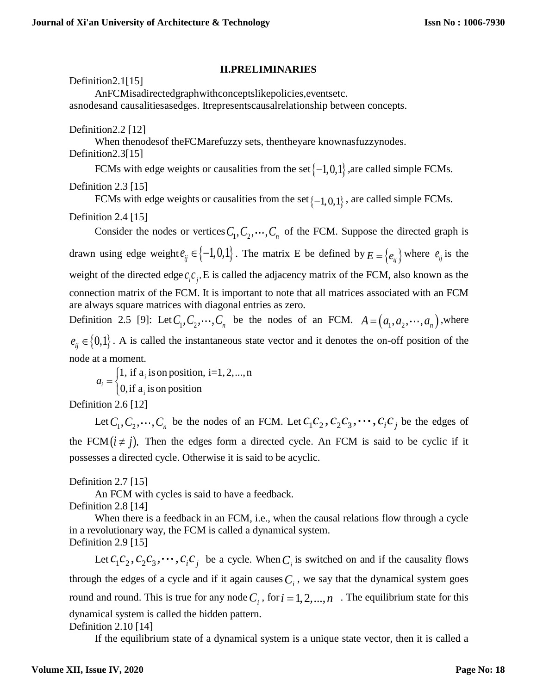## **II.PRELIMINARIES**

Definition2.1[15]

AnFCMisadirectedgraphwithconceptslikepolicies,eventsetc. asnodesand causalitiesasedges. Itrepresentscausalrelationship between concepts.

Definition2.2 [12]

When thenodesof theFCMarefuzzy sets, thentheyare knownasfuzzynodes. Definition2.3[15]

FCMs with edge weights or causalities from the set  $\{-1,0,1\}$  , are called simple FCMs.

Definition 2.3 [15]

FCMs with edge weights or causalities from the set  $\{-1,0,1\}$ , are called simple FCMs.

# Definition 2.4 [15]

Consider the nodes or vertices  $C_1, C_2, \dots, C_n$  of the FCM. Suppose the directed graph is drawn using edge weight  $e_{ij} \in \{-1,0,1\}$ . The matrix E be defined by  $E = \{e_{ij}\}$  where  $e_{ij}$  is the weight of the directed edge  $c_i c_j$ . E is called the adjacency matrix of the FCM, also known as the connection matrix of the FCM. It is important to note that all matrices associated with an FCM are always square matrices with diagonal entries as zero. Definition 2.5 [9]: Let  $C_1, C_2, \dots, C_n$  be the nodes of an FCM.  $A = (a_1, a_2, \dots, a_n)$ , where

 $e_{ij} \in \{0,1\}$ . A is called the instantaneous state vector and it denotes the on-off position of the node at a moment.

i i 1, if  $a_i$  is on position, i=1, 2, ..., n  $a_i = \begin{cases} 1, \text{ if } a_i \text{ is on position} \\ 0, \text{ if } a_i \text{ is on position} \end{cases}$ l

Definition 2.6 [12]

Let  $C_1, C_2, \dots, C_n$  be the nodes of an FCM. Let  $c_1c_2, c_2c_3, \dots, c_ic_j$  be the edges of the FCM  $(i \neq j)$ . Then the edges form a directed cycle. An FCM is said to be cyclic if it possesses a directed cycle. Otherwise it is said to be acyclic.

Definition 2.7 [15]

An FCM with cycles is said to have a feedback.

Definition 2.8 [14]

When there is a feedback in an FCM, i.e., when the causal relations flow through a cycle in a revolutionary way, the FCM is called a dynamical system. Definition 2.9 [15]

Let  $c_1c_2$ ,  $c_2c_3$ ,  $\cdots$ ,  $c_ic_j$  be a cycle. When  $C_i$  is switched on and if the causality flows through the edges of a cycle and if it again causes  $C_i$ , we say that the dynamical system goes round and round. This is true for any node  $C_i$ , for  $i = 1, 2, ..., n$ . The equilibrium state for this dynamical system is called the hidden pattern. Definition 2.10 [14]

If the equilibrium state of a dynamical system is a unique state vector, then it is called a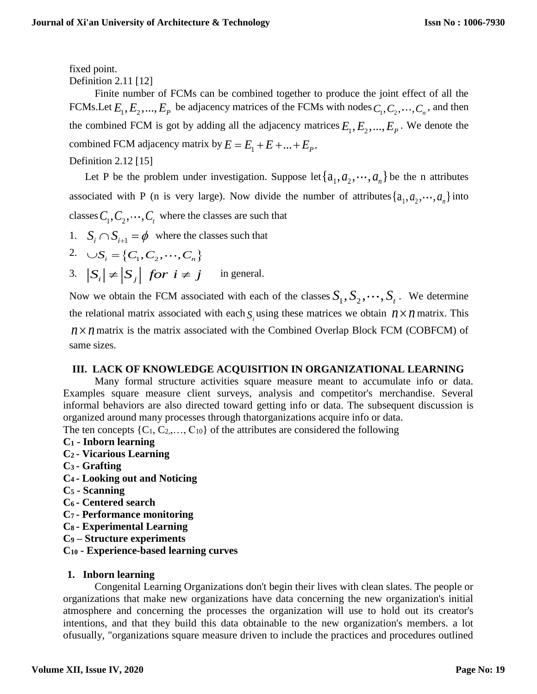fixed point.

Definition 2.11 [12]

Finite number of FCMs can be combined together to produce the joint effect of all the FCMs. Let  $E_1, E_2, ..., E_p$  be adjacency matrices of the FCMs with nodes  $C_1, C_2, ..., C_n$ , and then the combined FCM is got by adding all the adjacency matrices  $E_1, E_2, ..., E_p$ . We denote the combined FCM adjacency matrix by  $E = E_1 + E + ... + E_p$ .

# Definition 2.12 [15]

Let P be the problem under investigation. Suppose let  $\{a_1, a_2, \dots, a_n\}$  be the n attributes associated with P (n is very large). Now divide the number of attributes  $\{a_1, a_2, \dots, a_n\}$  into classes  $C_{1}, C_{2}, \cdots, C_{t}$  where the classes are such that

1.  $S_i \cap S_{i+1} = \phi$  where the classes such that

2. 
$$
\bigcup S_i = \{C_1, C_2, \dots, C_n\}
$$

3.  $|S_i| \neq |S_j|$  *for*  $i \neq j$  in general.

Now we obtain the FCM associated with each of the classes  $S_1, S_2, \dots, S_t$ . We determine the relational matrix associated with each  $S_i$  using these matrices we obtain  $n \times n$  matrix. This  $n \times n$  matrix is the matrix associated with the Combined Overlap Block FCM (COBFCM) of same sizes.

# **III. LACK OF KNOWLEDGE ACQUISITION IN ORGANIZATIONAL LEARNING**

Many formal structure activities square measure meant to accumulate info or data. Examples square measure client surveys, analysis and competitor's merchandise. Several informal behaviors are also directed toward getting info or data. The subsequent discussion is organized around many processes through thatorganizations acquire info or data. The ten concepts  $\{C_1, C_2, \ldots, C_{10}\}$  of the attributes are considered the following

# **C<sup>1</sup> - Inborn learning**

- **C2 - Vicarious Learning**
- **C3 - Grafting**
- **C4 - Looking out and Noticing**
- **C<sup>5</sup> - Scanning**
- **C6 - Centered search**
- **C7 - Performance monitoring**
- **C8 - Experimental Learning**
- **C<sup>9</sup> – Structure experiments**
- **C<sup>10</sup> - Experience-based learning curves**

# **1. Inborn learning**

Congenital Learning Organizations don't begin their lives with clean slates. The people or organizations that make new organizations have data concerning the new organization's initial atmosphere and concerning the processes the organization will use to hold out its creator's intentions, and that they build this data obtainable to the new organization's members. a lot ofusually, "organizations square measure driven to include the practices and procedures outlined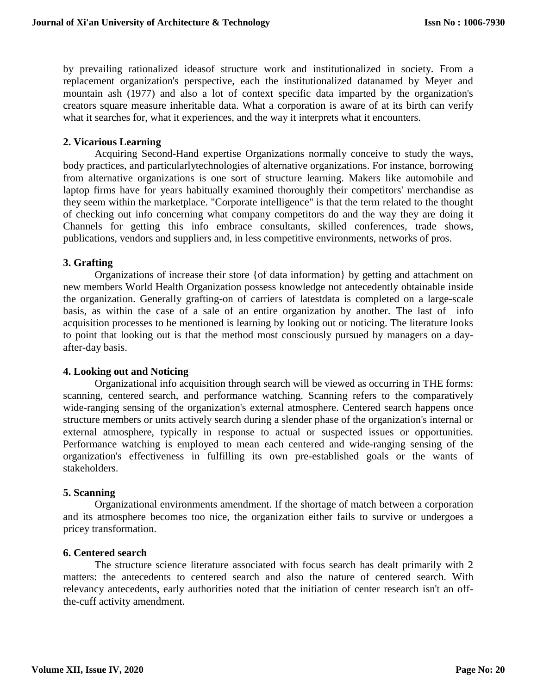by prevailing rationalized ideasof structure work and institutionalized in society. From a replacement organization's perspective, each the institutionalized datanamed by Meyer and mountain ash (1977) and also a lot of context specific data imparted by the organization's creators square measure inheritable data. What a corporation is aware of at its birth can verify what it searches for, what it experiences, and the way it interprets what it encounters.

## **2. Vicarious Learning**

Acquiring Second-Hand expertise Organizations normally conceive to study the ways, body practices, and particularlytechnologies of alternative organizations. For instance, borrowing from alternative organizations is one sort of structure learning. Makers like automobile and laptop firms have for years habitually examined thoroughly their competitors' merchandise as they seem within the marketplace. "Corporate intelligence" is that the term related to the thought of checking out info concerning what company competitors do and the way they are doing it Channels for getting this info embrace consultants, skilled conferences, trade shows, publications, vendors and suppliers and, in less competitive environments, networks of pros.

### **3. Grafting**

Organizations of increase their store {of data information} by getting and attachment on new members World Health Organization possess knowledge not antecedently obtainable inside the organization. Generally grafting-on of carriers of latestdata is completed on a large-scale basis, as within the case of a sale of an entire organization by another. The last of info acquisition processes to be mentioned is learning by looking out or noticing. The literature looks to point that looking out is that the method most consciously pursued by managers on a dayafter-day basis.

#### **4. Looking out and Noticing**

Organizational info acquisition through search will be viewed as occurring in THE forms: scanning, centered search, and performance watching. Scanning refers to the comparatively wide-ranging sensing of the organization's external atmosphere. Centered search happens once structure members or units actively search during a slender phase of the organization's internal or external atmosphere, typically in response to actual or suspected issues or opportunities. Performance watching is employed to mean each centered and wide-ranging sensing of the organization's effectiveness in fulfilling its own pre-established goals or the wants of stakeholders.

#### **5. Scanning**

Organizational environments amendment. If the shortage of match between a corporation and its atmosphere becomes too nice, the organization either fails to survive or undergoes a pricey transformation.

#### **6. Centered search**

The structure science literature associated with focus search has dealt primarily with 2 matters: the antecedents to centered search and also the nature of centered search. With relevancy antecedents, early authorities noted that the initiation of center research isn't an offthe-cuff activity amendment.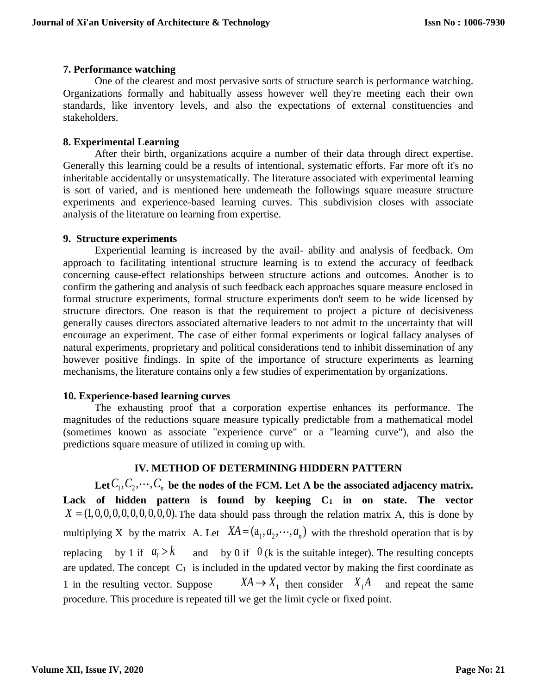## **7. Performance watching**

One of the clearest and most pervasive sorts of structure search is performance watching. Organizations formally and habitually assess however well they're meeting each their own standards, like inventory levels, and also the expectations of external constituencies and stakeholders.

## **8. Experimental Learning**

After their birth, organizations acquire a number of their data through direct expertise. Generally this learning could be a results of intentional, systematic efforts. Far more oft it's no inheritable accidentally or unsystematically. The literature associated with experimental learning is sort of varied, and is mentioned here underneath the followings square measure structure experiments and experience-based learning curves. This subdivision closes with associate analysis of the literature on learning from expertise.

## **9. Structure experiments**

Experiential learning is increased by the avail- ability and analysis of feedback. Om approach to facilitating intentional structure learning is to extend the accuracy of feedback concerning cause-effect relationships between structure actions and outcomes. Another is to confirm the gathering and analysis of such feedback each approaches square measure enclosed in formal structure experiments, formal structure experiments don't seem to be wide licensed by structure directors. One reason is that the requirement to project a picture of decisiveness generally causes directors associated alternative leaders to not admit to the uncertainty that will encourage an experiment. The case of either formal experiments or logical fallacy analyses of natural experiments, proprietary and political considerations tend to inhibit dissemination of any however positive findings. In spite of the importance of structure experiments as learning mechanisms, the literature contains only a few studies of experimentation by organizations.

## **10. Experience-based learning curves**

The exhausting proof that a corporation expertise enhances its performance. The magnitudes of the reductions square measure typically predictable from a mathematical model (sometimes known as associate "experience curve" or a "learning curve"), and also the predictions square measure of utilized in coming up with.

## **IV. METHOD OF DETERMINING HIDDERN PATTERN**

Let  $C_1, C_2, \cdots, C_n$  be the nodes of the FCM. Let A be the associated adjacency matrix. **Lack of hidden pattern is found by keeping C<sup>1</sup> in on state. The vector**  $X = (1,0,0,0,0,0,0,0,0,0)$ . The data should pass through the relation matrix A, this is done by multiplying X by the matrix A. Let  $XA = (a_1, a_2, \dots, a_n)$  with the threshold operation that is by replacing by 1 if  $a_i$  $a_i > k$  and by 0 if 0 (k is the suitable integer). The resulting concepts are updated. The concept  $C_1$  is included in the updated vector by making the first coordinate as 1 in the resulting vector. Suppose  $X A \rightarrow X_1$  then consider  $X_1 A$  and repeat the same procedure. This procedure is repeated till we get the limit cycle or fixed point.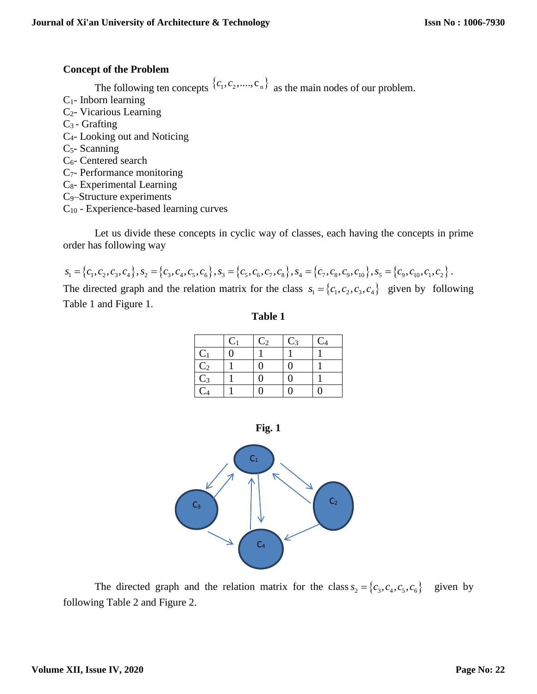## **Concept of the Problem**

The following ten concepts  ${c_1, c_2, ..., c_n}$  as the main nodes of our problem.

- $C_1$  Inborn learning
- C2- Vicarious Learning
- C3 Grafting
- C4- Looking out and Noticing
- $C<sub>5</sub>$  Scanning
- C6- Centered search
- C7- Performance monitoring
- C8- Experimental Learning
- C9–Structure experiments
- C<sup>10</sup> Experience-based learning curves

Let us divide these concepts in cyclic way of classes, each having the concepts in prime order has following way

$$
s_1 = \{c_1, c_2, c_3, c_4\}, s_2 = \{c_3, c_4, c_5, c_6\}, s_3 = \{c_5, c_6, c_7, c_8\}, s_4 = \{c_7, c_8, c_9, c_{10}\}, s_5 = \{c_9, c_{10}, c_1, c_2\}.
$$

The directed graph and the relation matrix for the class  $s_1 = \{c_1, c_2, c_3, c_4\}$  given by following Table 1 and Figure 1.

**Table 1**

|                 | $C_1$ | C <sub>2</sub> | $C_3$ | C <sub>4</sub> |
|-----------------|-------|----------------|-------|----------------|
| $C_1$           | Ŋ     |                |       |                |
|                 |       | 0              | 0     |                |
| $rac{C_2}{C_3}$ |       | 0              |       |                |
|                 |       |                |       |                |

**Fig. 1**



The directed graph and the relation matrix for the class  $s_2 = \{c_3, c_4, c_5, c_6\}$  given by following Table 2 and Figure 2.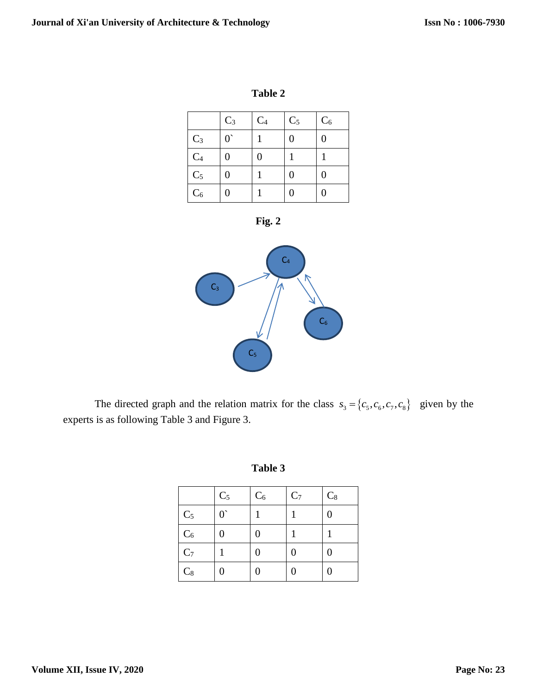| 'able |  |
|-------|--|
|-------|--|

|                | $C_3$       | $C_4$ | $C_5$ | $C_6$ |
|----------------|-------------|-------|-------|-------|
| $C_3$          | $0^{\circ}$ |       | 0     |       |
| $C_4$          | 0           | 0     |       |       |
| C <sub>5</sub> | 0           |       | 0     |       |
| $C_6$          |             |       | 0     |       |





The directed graph and the relation matrix for the class  $s_3 = \{c_5, c_6, c_7, c_8\}$  given by the experts is as following Table 3 and Figure 3.

| m<br>π |  |
|--------|--|
|--------|--|

|                | $C_5$       | $C_6$ | C <sub>7</sub> | $C_8$ |
|----------------|-------------|-------|----------------|-------|
| C <sub>5</sub> | $0^{\circ}$ |       |                | 0     |
| $C_6$          | 0           | 0     |                |       |
| C <sub>7</sub> |             | 0     | 0              | 0     |
| $C_8$          | 0           | 0     | 0              | 0     |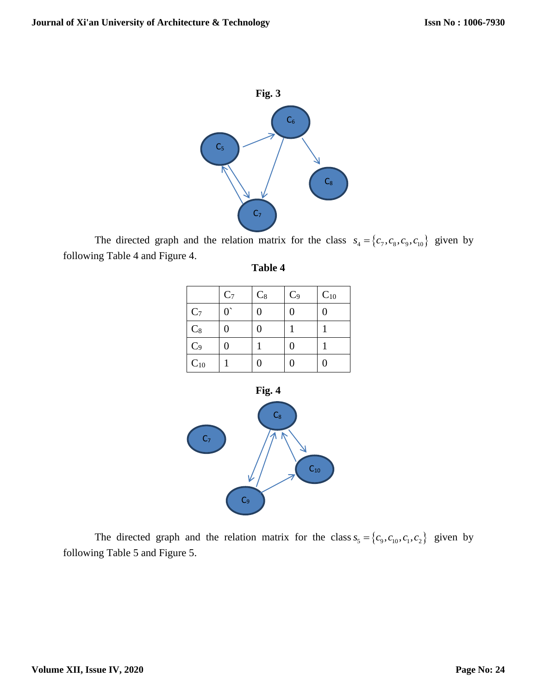

The directed graph and the relation matrix for the class  $s_4 = \{c_7, c_8, c_9, c_{10}\}$  given by following Table 4 and Figure 4.

| me<br>и |  |
|---------|--|
|---------|--|

|                | $C_7$       | $C_8$ | $C_9$ | $C_{10}$ |
|----------------|-------------|-------|-------|----------|
| $C_7$          | $0^{\circ}$ |       | 0     | 0        |
| $C_8$          | 0           |       |       |          |
| $\mathrm{C}_9$ |             |       | 0     |          |
| $C_{10}$       |             |       | 0     |          |



The directed graph and the relation matrix for the class  $s_5 = \{c_9, c_{10}, c_1, c_2\}$  given by following Table 5 and Figure 5.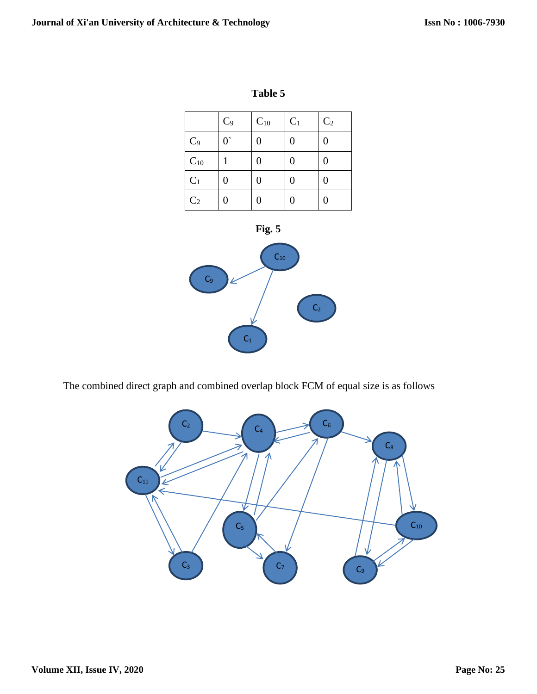|                | $C_9$       | $\mathrm{C}_{10}$ | C <sub>1</sub> | $\mathrm{C}_2$ |
|----------------|-------------|-------------------|----------------|----------------|
| $C_9$          | $0^{\circ}$ | 0                 | 0              | 0              |
| $C_{10}$       |             | 0                 | 0              | 0              |
| $C_1$          |             | 0                 | 0              | 0              |
| C <sub>2</sub> |             | 0                 | 0              | 0              |





The combined direct graph and combined overlap block FCM of equal size is as follows

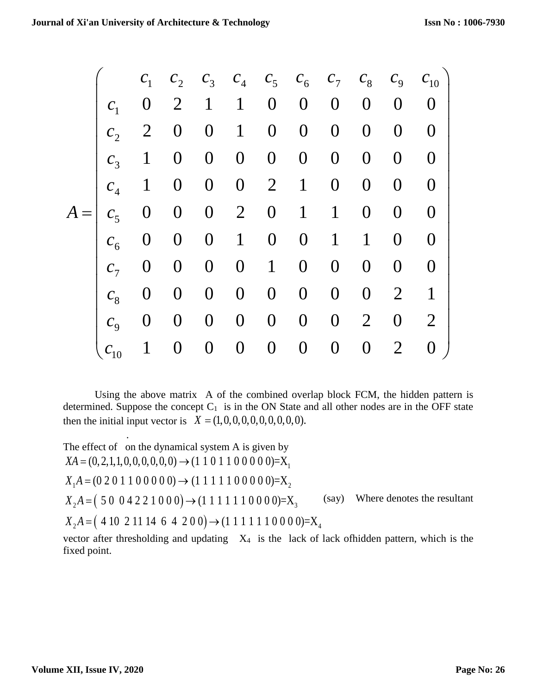|       |                            | $\mathcal{C}_1$ |                  |                  |                  |                  | $C_2$ $C_3$ $C_4$ $C_5$ $C_6$ $C_7$ $C_8$ $C_9$ $C_{10}$ |                  |                  |                |                |
|-------|----------------------------|-----------------|------------------|------------------|------------------|------------------|----------------------------------------------------------|------------------|------------------|----------------|----------------|
|       | $C_1$                      | $\overline{0}$  | $\overline{2}$   | $\mathbf{1}$     | $\mathbf{1}$     | $\overline{0}$   | $\boldsymbol{0}$                                         | $\overline{0}$   | $\theta$         | $\theta$       | $\overline{0}$ |
|       | $c_{\gamma}$               | $\overline{2}$  | $\overline{0}$   | $\overline{0}$   | $\mathbf{1}$     | $\boldsymbol{0}$ | $\overline{0}$                                           | $\overline{0}$   | $\overline{0}$   | $\overline{0}$ | $\overline{0}$ |
|       | $\mathcal{C}_3$            | $\mathbf{1}$    | $\overline{0}$   | $\boldsymbol{0}$ | $\boldsymbol{0}$ | $\boldsymbol{0}$ | $\overline{0}$                                           | $\overline{0}$   | $\boldsymbol{0}$ | $\overline{0}$ | $\overline{0}$ |
|       | $c_{\scriptscriptstyle 4}$ | $\mathbf{1}$    | $\boldsymbol{0}$ | $\boldsymbol{0}$ | $\boldsymbol{0}$ | $\overline{2}$   | $\mathbf{1}$                                             | $\overline{0}$   | $\overline{0}$   | $\overline{0}$ | $\overline{0}$ |
| $A =$ | $C_5$                      | $\overline{0}$  | $\boldsymbol{0}$ | $\boldsymbol{0}$ | $\overline{2}$   | $\boldsymbol{0}$ | $\mathbf{1}$                                             | $\mathbf{1}$     | $\overline{0}$   | $\overline{0}$ | $\overline{0}$ |
|       | $c_{\epsilon}$             | $\overline{0}$  | $\overline{0}$   | $\boldsymbol{0}$ | $\mathbf{1}$     | $\boldsymbol{0}$ | $\overline{0}$                                           | $\mathbf{1}$     | $\mathbf{1}$     | $\overline{0}$ | $\overline{0}$ |
|       | c <sub>7</sub>             | $\overline{0}$  | $\overline{0}$   | $\boldsymbol{0}$ | $\boldsymbol{0}$ | $\mathbf{1}$     | $\overline{0}$                                           | $\overline{0}$   | $\overline{0}$   | $\overline{0}$ | $\overline{0}$ |
|       | $\mathcal{C}_{\mathsf{Q}}$ | $\overline{0}$  | $\overline{0}$   | $\overline{0}$   | $\boldsymbol{0}$ | $\overline{0}$   | $\overline{0}$                                           | $\overline{0}$   | $\overline{0}$   | $\overline{2}$ | $\mathbf{1}$   |
|       | $\mathcal{C}_{\alpha}$     | $\overline{0}$  | $\overline{0}$   | $\overline{0}$   | $\boldsymbol{0}$ | $\boldsymbol{0}$ | $\overline{0}$                                           | $\overline{0}$   | $\overline{2}$   | $\overline{0}$ | $\overline{2}$ |
|       | $c_{10}$                   | $\mathbf{1}$    | $\overline{0}$   | $\boldsymbol{0}$ | $\boldsymbol{0}$ | $\boldsymbol{0}$ | $\boldsymbol{0}$                                         | $\boldsymbol{0}$ | $\overline{0}$   | $\overline{2}$ | $\overline{0}$ |

Using the above matrix A of the combined overlap block FCM, the hidden pattern is determined. Suppose the concept  $C_1$  is in the ON State and all other nodes are in the OFF state then the initial input vector is  $X = (1,0,0,0,0,0,0,0,0,0)$ .

The effect of on the dynamical system A is given by  $X_2A = (5004221000) \rightarrow (1111110000) = X_3$  $X_2A = (410 \ 21114 \ 6 \ 4 \ 200) \rightarrow (1111110000) = X_4$  $XA = (0, 2, 1, 1, 0, 0, 0, 0, 0, 0) \rightarrow (1\ 1\ 0\ 1\ 1\ 0\ 0\ 0\ 0\ ) = X_1$  $X_1A = (0\ 2\ 0\ 1\ 1\ 0\ 0\ 0\ 0) \rightarrow (1\ 1\ 1\ 1\ 1\ 0\ 0\ 0\ 0\ 0) = X_2$ (say) Where denotes the resultant

vector after thresholding and updating  $X_4$  is the lack of lack of hidden pattern, which is the fixed point.

.